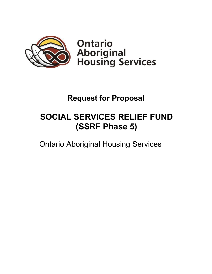

**Ontario Aboriginal<br>Housing Services** 

## **Request for Proposal**

# **SOCIAL SERVICES RELIEF FUND (SSRF Phase 5)**

Ontario Aboriginal Housing Services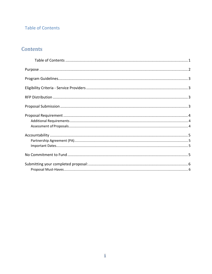## <span id="page-1-0"></span>**Table of Contents**

## Contents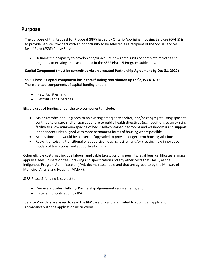## <span id="page-2-0"></span>**Purpose**

The purpose of this Request for Proposal (RFP) issued by Ontario Aboriginal Housing Services (OAHS) is to provide Service Providers with an opportunity to be selected as a recipient of the Social Services Relief Fund (SSRF) Phase 5 by:

• Defining their capacity to develop and/or acquire new rental units or complete retrofits and upgrades to existing units as outlined in the SSRF Phase 5 ProgramGuidelines.

#### **Capital Component (must be committed via an executed Partnership Agreement by Dec 31, 2022)**

**SSRF Phase 5 Capital component has a total funding contribution up to \$2,353,414.00.**

There are two components of capital funding under:

- New Facilities; and
- Retrofits and Upgrades

Eligible uses of funding under the two components include:

- Major retrofits and upgrades to an existing emergency shelter, and/or congregate living space to continue to ensure shelter spaces adhere to public health directives (e.g., additions to an existing facility to allow minimum spacing of beds; self-contained bedrooms and washrooms) and support independent units aligned with more permanent forms of housing where possible.
- Acquisitions that would be converted/upgraded to provide longer-term housingsolutions.
- Retrofit of existing transitional or supportive housing facility, and/or creating new innovative models of transitional and supportive housing.

Other eligible costs may include labour, applicable taxes, building permits, legal fees, certificates, signage, appraisal fees, inspection fees, drawing and specification and any other costs that OAHS, as the Indigenous Program Administrator (IPA), deems reasonable and that are agreed to by the Ministry of Municipal Affairs and Housing (MMAH).

SSRF Phase 5 funding is subject to:

- Service Providers fulfilling Partnership Agreement requirements; and
- Program prioritization by IPA

Service Providers are asked to read the RFP carefully and are invited to submit an application in accordance with the application instructions.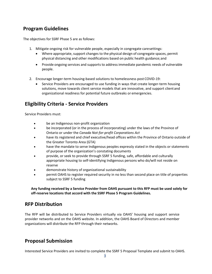## <span id="page-3-0"></span>**Program Guidelines**

The objectives for SSRF Phase 5 are as follows:

- 1. Mitigate ongoing risk for vulnerable people, especially in congregate caresettings:
	- Where appropriate, support changes to the physical design of congregate spaces, permit physical distancing and other modifications based on public health guidance;and
	- Provide ongoing services and supports to address immediate pandemic needs of vulnerable people.
- 2. Encourage longer-term housing-based solutions to homelessness post COVID-19:
	- Service Providers are encouraged to use funding in ways that create longer-term housing solutions, move towards client service models that are innovative, and support client and organizational readiness for potential future outbreaks or emergencies.

## <span id="page-3-1"></span>**Eligibility Criteria - Service Providers**

Service Providers must:

- be an Indigenous non-profit organization
- be incorporated (or in the process of incorporating) under the laws of the Province of Ontario or under the *Canada Not-for-profit Corporations Act*
- have its registered and chief executive/head offices within the Province of Ontario outside of the Greater Toronto Area (GTA)
- have the mandate to serve Indigenous peoples expressly stated in the objects or statements of purpose of the organization's constating documents
- provide, or seek to provide through SSRF 5 funding, safe, affordable and culturally appropriate housing to self-identifying Indigenous persons who do/will not reside on reserve
- demonstrate history of organizational sustainability
- permit OAHS to register required security in no less than second place on title of properties subject to SSRF 5 funding

**Any funding received by a Service Provider from OAHS pursuant to this RFP must be used solely for off-reserve locations that accord with the SSRF Phase 5 Program Guidelines.**

## <span id="page-3-2"></span>**RFP Distribution**

The RFP will be distributed to Service Providers virtually via OAHS' housing and support service provider networks and on the OAHS website. In addition, the OAHS Board of Directors and member organizations will distribute the RFP through their networks.

## <span id="page-3-3"></span>**Proposal Submission**

Interested Service Providers are invited to complete the SSRF 5 Proposal Template and submit to OAHS.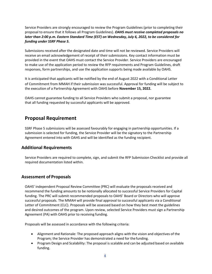Service Providers are strongly encouraged to review the Program Guidelines (prior to completing their proposal to ensure that it follows all Program Guidelines). *OAHS must receive completed proposals no later than 2:00 p.m. Eastern Standard Time (EST) on Wednesday, July 6, 2022, to be considered for funding under SSRF Phase 5.* 

Submissions received after the designated date and time will not be reviewed. Service Providers will receive an email acknowledgement of receipt of their submissions. Key contact information must be provided in the event that OAHS must contact the Service Provider. Service Providers are encouraged to make use of the application period to review the RFP requirements and Program Guidelines, draft responses, form partnerships, and use the application supports being made available by OAHS.

It is anticipated that applicants will be notified by the end of August 2022 with a Conditional Letter of Commitment from MMAH if their submission was successful. Approval for funding will be subject to the execution of a Partnership Agreement with OAHS before **November 15, 2022.**

OAHS cannot guarantee funding to all Service Providers who submit a proposal, nor guarantee that all funding requested by successful applicants will be approved.

## <span id="page-4-0"></span>**Proposal Requirement**

SSRF Phase 5 submissions will be assessed favourably for engaging in partnership opportunities. If a submission is selected for funding, the Service Provider will be the signatory to the Partnership Agreement entered into with OAHS and will be identified as the funding recipient.

#### <span id="page-4-1"></span>**Additional Requirements**

Service Providers are required to complete, sign, and submit the RFP Submission Checklist and provide all required documentation listed within.

### <span id="page-4-2"></span>**Assessment of Proposals**

OAHS' independent Proposal Review Committee (PRC) will evaluate the proposals received and recommend the funding amounts to be notionally allocated to successful Service Providers for Capital funding. The PRC will submit recommended proposals to OAHS' Board or Directors who will approve successful proposals. The MMAH will provide final approval to successful applicants via a Conditional Letter of Commitment (CLC). Proposals will be assessed based on how they best meet the guidelines and desired outcomes of the program. Upon review, selected Service Providers must sign a Partnership Agreement (PA) with OAHS prior to receiving funding.

Proposals will be assessed in accordance with the following criteria:

- Alignment and Rationale: The proposed approach aligns with the vision and objectives of the Program; the Service Provider has demonstrated a need for thefunding.
- Program Design and Scalability: The proposal is scalable and can be adjusted based on available funding.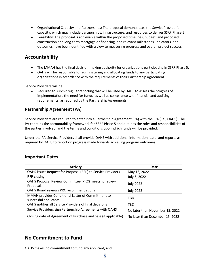- Organizational Capacity and Partnerships: The proposal demonstrates the Service Provider's capacity, which may include partnerships, infrastructure, and resources to deliver SSRF Phase 5.
- Feasibility: The proposal is achievable within the proposed timelines, budget, and proposed construction and long-term mortgage or financing, and relevant milestones, indicators, and outcomes have been identified with a view to measuring progress and overall project success.

## <span id="page-5-0"></span>**Accountability**

- The MMAH has the final decision-making authority for organizations participating in SSRF Phase 5.
- OAHS will be responsible for administering and allocating funds to any participating organizations in accordance with the requirements of their Partnership Agreement.

Service Providers will be:

Required to submit regular reporting that will be used by OAHS to assess the progress of implementation, the need for funds, as well as compliance with financial and auditing requirements, as required by the Partnership Agreements.

### <span id="page-5-1"></span>**Partnership Agreement (PA)**

Service Providers are required to enter into a Partnership Agreement (PA) with the IPA (i.e., OAHS). The PA contains the accountability framework for SSRF Phase 5 and outlines the roles and responsibilities of the parties involved, and the terms and conditions upon which funds will be provided.

Under the PA, Service Providers shall provide OAHS with additional information, data, and reports as required by OAHS to report on progress made towards achieving program outcomes.

#### <span id="page-5-2"></span>**Important Dates**

| <b>Activity</b>                                                            | Date                            |
|----------------------------------------------------------------------------|---------------------------------|
| OAHS issues Request for Proposal (RFP) to Service Providers                | May 13, 2022                    |
| RFP closing                                                                | July 6, 2022                    |
| OAHS Proposal Review Committee (PRC) meets to review<br>Proposals          | <b>July 2022</b>                |
| <b>OAHS Board reviews PRC recommendations</b>                              | <b>July 2022</b>                |
| MMAH provides Conditional Letter of Commitment to<br>successful applicants | TBD                             |
| OAHS notifies all Service Providers of final decisions                     | TBD                             |
| Service Providers sign Partnership Agreements with OAHS                    | No later than November 15, 2022 |
| Closing date of Agreement of Purchase and Sale (if applicable)             | No later than December 15, 2022 |

## <span id="page-5-3"></span>**No Commitment to Fund**

OAHS makes no commitment to fund any applicant, and: